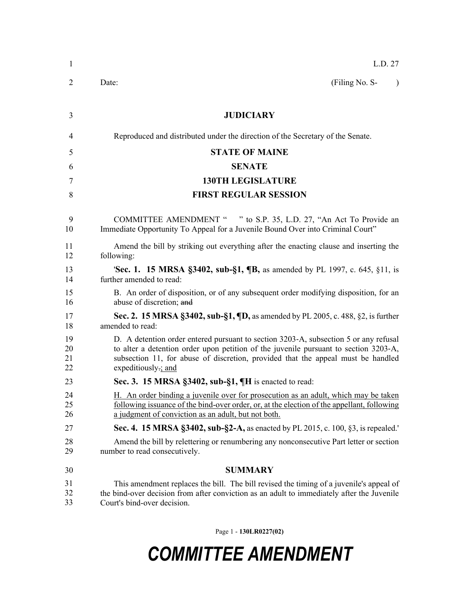| $\mathbf{1}$         | L.D. 27                                                                                                                                                                                                                                                                                 |
|----------------------|-----------------------------------------------------------------------------------------------------------------------------------------------------------------------------------------------------------------------------------------------------------------------------------------|
| $\overline{2}$       | (Filing No. S-<br>Date:<br>$\lambda$                                                                                                                                                                                                                                                    |
| 3                    | <b>JUDICIARY</b>                                                                                                                                                                                                                                                                        |
| 4                    | Reproduced and distributed under the direction of the Secretary of the Senate.                                                                                                                                                                                                          |
| 5                    | <b>STATE OF MAINE</b>                                                                                                                                                                                                                                                                   |
| 6                    | <b>SENATE</b>                                                                                                                                                                                                                                                                           |
| 7                    | <b>130TH LEGISLATURE</b>                                                                                                                                                                                                                                                                |
| 8                    | <b>FIRST REGULAR SESSION</b>                                                                                                                                                                                                                                                            |
| 9<br>10              | COMMITTEE AMENDMENT " " to S.P. 35, L.D. 27, "An Act To Provide an<br>Immediate Opportunity To Appeal for a Juvenile Bound Over into Criminal Court"                                                                                                                                    |
| 11<br>12             | Amend the bill by striking out everything after the enacting clause and inserting the<br>following:                                                                                                                                                                                     |
| 13<br>14             | <b>'Sec. 1. 15 MRSA §3402, sub-§1, ¶B,</b> as amended by PL 1997, c. 645, §11, is<br>further amended to read:                                                                                                                                                                           |
| 15<br>16             | B. An order of disposition, or of any subsequent order modifying disposition, for an<br>abuse of discretion; and                                                                                                                                                                        |
| 17<br>18             | Sec. 2. 15 MRSA §3402, sub-§1, ¶D, as amended by PL 2005, c. 488, §2, is further<br>amended to read:                                                                                                                                                                                    |
| 19<br>20<br>21<br>22 | D. A detention order entered pursuant to section 3203-A, subsection 5 or any refusal<br>to alter a detention order upon petition of the juvenile pursuant to section 3203-A,<br>subsection 11, for abuse of discretion, provided that the appeal must be handled<br>expeditiously-; and |
| 23                   | Sec. 3. 15 MRSA §3402, sub-§1, ¶H is enacted to read:                                                                                                                                                                                                                                   |
| 24<br>25<br>26       | H. An order binding a juvenile over for prosecution as an adult, which may be taken<br>following issuance of the bind-over order, or, at the election of the appellant, following<br>a judgment of conviction as an adult, but not both.                                                |
| 27                   | Sec. 4. 15 MRSA §3402, sub-§2-A, as enacted by PL 2015, c. 100, §3, is repealed.                                                                                                                                                                                                        |
| 28<br>29             | Amend the bill by relettering or renumbering any nonconsecutive Part letter or section<br>number to read consecutively.                                                                                                                                                                 |
| 30                   | <b>SUMMARY</b>                                                                                                                                                                                                                                                                          |
| 31<br>32<br>33       | This amendment replaces the bill. The bill revised the timing of a juvenile's appeal of<br>the bind-over decision from after conviction as an adult to immediately after the Juvenile<br>Court's bind-over decision.                                                                    |

Page 1 - **130LR0227(02)**

## *COMMITTEE AMENDMENT*